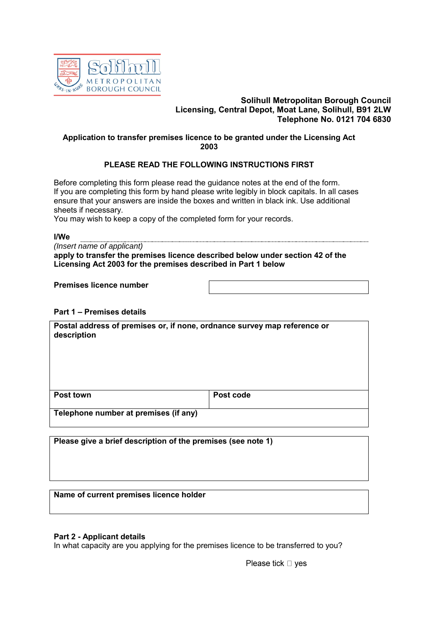

## **Solihull Metropolitan Borough Council Licensing, Central Depot, Moat Lane, Solihull, B91 2LW Telephone No. 0121 704 6830**

## **Application to transfer premises licence to be granted under the Licensing Act 2003**

# **PLEASE READ THE FOLLOWING INSTRUCTIONS FIRST**

Before completing this form please read the guidance notes at the end of the form. If you are completing this form by hand please write legibly in block capitals. In all cases ensure that your answers are inside the boxes and written in black ink. Use additional sheets if necessary.

You may wish to keep a copy of the completed form for your records.

**I/We** *(Insert name of applicant)*

**apply to transfer the premises licence described below under section 42 of the Licensing Act 2003 for the premises described in Part 1 below**

**Premises licence number**

## **Part 1 – Premises details**

| Postal address of premises or, if none, ordnance survey map reference or<br>description |           |  |
|-----------------------------------------------------------------------------------------|-----------|--|
| Post town                                                                               | Post code |  |
| Telephone number at premises (if any)                                                   |           |  |

**Please give a brief description of the premises (see note 1)**

## **Name of current premises licence holder**

## **Part 2 - Applicant details**

In what capacity are you applying for the premises licence to be transferred to you?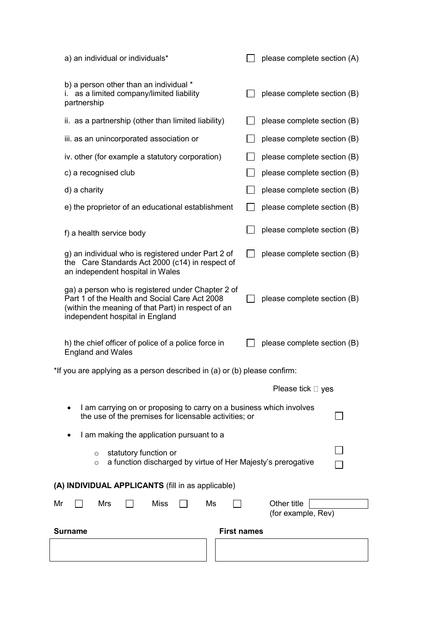| <b>Mrs</b><br><b>Miss</b><br>Ms<br><b>First names</b><br>Surname                                                                                                                            | Other title<br>(for example, Rev) |  |  |  |
|---------------------------------------------------------------------------------------------------------------------------------------------------------------------------------------------|-----------------------------------|--|--|--|
| (A) INDIVIDUAL APPLICANTS (fill in as applicable)<br>Mr                                                                                                                                     |                                   |  |  |  |
|                                                                                                                                                                                             |                                   |  |  |  |
| $\circ$                                                                                                                                                                                     |                                   |  |  |  |
| statutory function or<br>$\circ$<br>a function discharged by virtue of Her Majesty's prerogative                                                                                            |                                   |  |  |  |
| I am making the application pursuant to a                                                                                                                                                   |                                   |  |  |  |
| I am carrying on or proposing to carry on a business which involves<br>the use of the premises for licensable activities; or                                                                |                                   |  |  |  |
|                                                                                                                                                                                             | Please tick $\square$ yes         |  |  |  |
| *If you are applying as a person described in (a) or (b) please confirm:                                                                                                                    |                                   |  |  |  |
| h) the chief officer of police of a police force in<br><b>England and Wales</b>                                                                                                             | please complete section (B)       |  |  |  |
| ga) a person who is registered under Chapter 2 of<br>Part 1 of the Health and Social Care Act 2008<br>(within the meaning of that Part) in respect of an<br>independent hospital in England | please complete section (B)       |  |  |  |
| g) an individual who is registered under Part 2 of<br>the Care Standards Act 2000 (c14) in respect of<br>an independent hospital in Wales                                                   | please complete section (B)       |  |  |  |
| f) a health service body                                                                                                                                                                    | please complete section (B)       |  |  |  |
| e) the proprietor of an educational establishment                                                                                                                                           | please complete section (B)       |  |  |  |
| d) a charity                                                                                                                                                                                | please complete section (B)       |  |  |  |
| c) a recognised club                                                                                                                                                                        | please complete section (B)       |  |  |  |
| iv. other (for example a statutory corporation)                                                                                                                                             | please complete section (B)       |  |  |  |
| iii. as an unincorporated association or                                                                                                                                                    | please complete section (B)       |  |  |  |
| ii. as a partnership (other than limited liability)                                                                                                                                         | please complete section (B)       |  |  |  |
| b) a person other than an individual *<br>as a limited company/limited liability<br>partnership                                                                                             | please complete section (B)       |  |  |  |
|                                                                                                                                                                                             |                                   |  |  |  |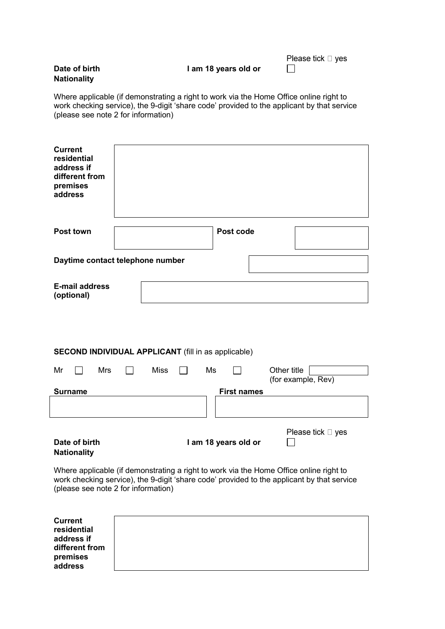| Date of birth | I am 18 years old or |
|---------------|----------------------|
|               |                      |

Please tick  $\square$  yes  $\Box$ 

# **over Nationality**

Where applicable (if demonstrating a right to work via the Home Office online right to work checking service), the 9-digit 'share code' provided to the applicant by that service (please see note 2 for information)

| <b>Current</b><br>residential<br>address if<br>different from<br>premises<br>address                                                                                                                                        |                                                        |  |  |  |  |
|-----------------------------------------------------------------------------------------------------------------------------------------------------------------------------------------------------------------------------|--------------------------------------------------------|--|--|--|--|
| Post town                                                                                                                                                                                                                   | Post code                                              |  |  |  |  |
| Daytime contact telephone number                                                                                                                                                                                            |                                                        |  |  |  |  |
| <b>E-mail address</b><br>(optional)                                                                                                                                                                                         |                                                        |  |  |  |  |
| <b>SECOND INDIVIDUAL APPLICANT</b> (fill in as applicable)                                                                                                                                                                  |                                                        |  |  |  |  |
| Mr<br><b>Mrs</b>                                                                                                                                                                                                            | Other title<br><b>Miss</b><br>Ms<br>(for example, Rev) |  |  |  |  |
| <b>Surname</b>                                                                                                                                                                                                              | <b>First names</b>                                     |  |  |  |  |
|                                                                                                                                                                                                                             |                                                        |  |  |  |  |
| Date of birth<br><b>Nationality</b>                                                                                                                                                                                         | Please tick $\square$ yes<br>I am 18 years old or      |  |  |  |  |
| Where applicable (if demonstrating a right to work via the Home Office online right to<br>work checking service), the 9-digit 'share code' provided to the applicant by that service<br>(please see note 2 for information) |                                                        |  |  |  |  |

| <b>Current</b><br>residential<br>address if |  |  |
|---------------------------------------------|--|--|
| different from<br>premises<br>address       |  |  |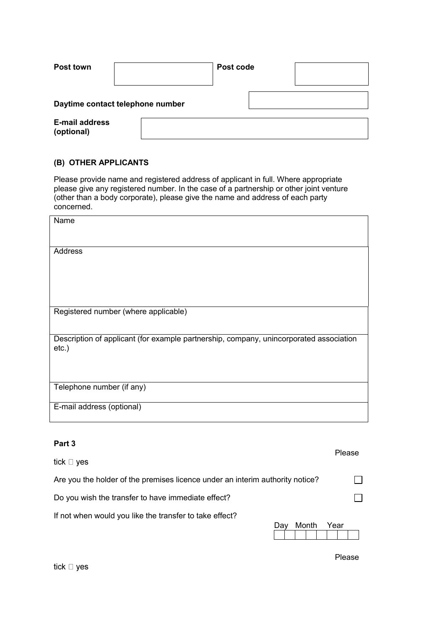| Post town                           |  | Post code |  |
|-------------------------------------|--|-----------|--|
| Daytime contact telephone number    |  |           |  |
| <b>E-mail address</b><br>(optional) |  |           |  |

# **(B) OTHER APPLICANTS**

Please provide name and registered address of applicant in full. Where appropriate please give any registered number. In the case of a partnership or other joint venture (other than a body corporate), please give the name and address of each party concerned.

| Name                                                                                               |
|----------------------------------------------------------------------------------------------------|
| Address                                                                                            |
| Registered number (where applicable)                                                               |
| Description of applicant (for example partnership, company, unincorporated association<br>$etc.$ ) |
| Telephone number (if any)                                                                          |
| E-mail address (optional)                                                                          |

| Part 3                                                                        | <b>Please</b> |
|-------------------------------------------------------------------------------|---------------|
| tick $\square$ yes                                                            |               |
| Are you the holder of the premises licence under an interim authority notice? |               |
| Do you wish the transfer to have immediate effect?                            |               |
| If not when would you like the transfer to take effect?<br>Month<br>Dav       | Year          |
|                                                                               | Please        |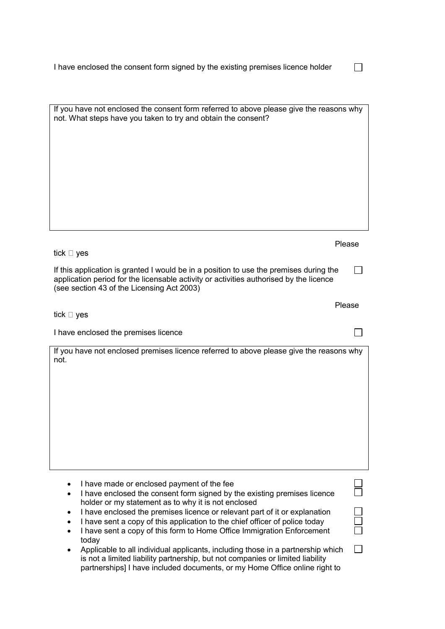I have enclosed the consent form signed by the existing premises licence holder

| If you have not enclosed the consent form referred to above please give the reasons why<br>not. What steps have you taken to try and obtain the consent?                                                                       |        |
|--------------------------------------------------------------------------------------------------------------------------------------------------------------------------------------------------------------------------------|--------|
|                                                                                                                                                                                                                                |        |
|                                                                                                                                                                                                                                |        |
|                                                                                                                                                                                                                                |        |
|                                                                                                                                                                                                                                |        |
|                                                                                                                                                                                                                                |        |
|                                                                                                                                                                                                                                | Please |
| tick $\square$ yes                                                                                                                                                                                                             |        |
| If this application is granted I would be in a position to use the premises during the<br>application period for the licensable activity or activities authorised by the licence<br>(see section 43 of the Licensing Act 2003) |        |
|                                                                                                                                                                                                                                | Please |
| tick $\square$ yes                                                                                                                                                                                                             |        |
| I have enclosed the premises licence                                                                                                                                                                                           |        |
| If you have not enclosed premises licence referred to above please give the reasons why<br>not.                                                                                                                                |        |
|                                                                                                                                                                                                                                |        |
|                                                                                                                                                                                                                                |        |
|                                                                                                                                                                                                                                |        |
|                                                                                                                                                                                                                                |        |
|                                                                                                                                                                                                                                |        |
|                                                                                                                                                                                                                                |        |
|                                                                                                                                                                                                                                |        |
|                                                                                                                                                                                                                                |        |
| I have made or enclosed payment of the fee<br>I have enclosed the consent form signed by the existing premises licence<br>holder or my statement as to why it is not enclosed                                                  |        |
| I have enclosed the premises licence or relevant part of it or explanation                                                                                                                                                     |        |
| I have sent a copy of this application to the chief officer of police today<br>I have sent a copy of this form to Home Office Immigration Enforcement                                                                          |        |
| today                                                                                                                                                                                                                          |        |
| Applicable to all individual applicants, including those in a partnership which<br>is not a limited liability partnership, but not companies or limited liability                                                              |        |

partnerships] I have included documents, or my Home Office online right to

 $\Box$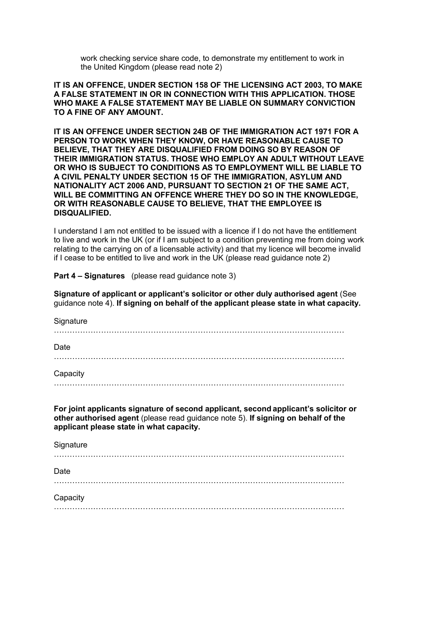work checking service share code, to demonstrate my entitlement to work in the United Kingdom (please read note 2)

**IT IS AN OFFENCE, UNDER SECTION 158 OF THE LICENSING ACT 2003, TO MAKE A FALSE STATEMENT IN OR IN CONNECTION WITH THIS APPLICATION. THOSE WHO MAKE A FALSE STATEMENT MAY BE LIABLE ON SUMMARY CONVICTION TO A FINE OF ANY AMOUNT.** 

**IT IS AN OFFENCE UNDER SECTION 24B OF THE IMMIGRATION ACT 1971 FOR A PERSON TO WORK WHEN THEY KNOW, OR HAVE REASONABLE CAUSE TO BELIEVE, THAT THEY ARE DISQUALIFIED FROM DOING SO BY REASON OF THEIR IMMIGRATION STATUS. THOSE WHO EMPLOY AN ADULT WITHOUT LEAVE OR WHO IS SUBJECT TO CONDITIONS AS TO EMPLOYMENT WILL BE LIABLE TO A CIVIL PENALTY UNDER SECTION 15 OF THE IMMIGRATION, ASYLUM AND NATIONALITY ACT 2006 AND, PURSUANT TO SECTION 21 OF THE SAME ACT, WILL BE COMMITTING AN OFFENCE WHERE THEY DO SO IN THE KNOWLEDGE, OR WITH REASONABLE CAUSE TO BELIEVE, THAT THE EMPLOYEE IS DISQUALIFIED.** 

I understand I am not entitled to be issued with a licence if I do not have the entitlement to live and work in the UK (or if I am subject to a condition preventing me from doing work relating to the carrying on of a licensable activity) and that my licence will become invalid if I cease to be entitled to live and work in the UK (please read guidance note 2)

**Part 4 – Signatures** (please read guidance note 3)

**Signature of applicant or applicant's solicitor or other duly authorised agent** (See guidance note 4). **If signing on behalf of the applicant please state in what capacity.**

| Signature                                                                                                                                                                                                            |
|----------------------------------------------------------------------------------------------------------------------------------------------------------------------------------------------------------------------|
| Date                                                                                                                                                                                                                 |
| Capacity                                                                                                                                                                                                             |
| For joint applicants signature of second applicant, second applicant's solicitor or<br>other authorised agent (please read guidance note 5). If signing on behalf of the<br>applicant please state in what capacity. |
| Signature                                                                                                                                                                                                            |

**Date** …………………………………………………………………………………………………

**Capacity** 

…………………………………………………………………………………………………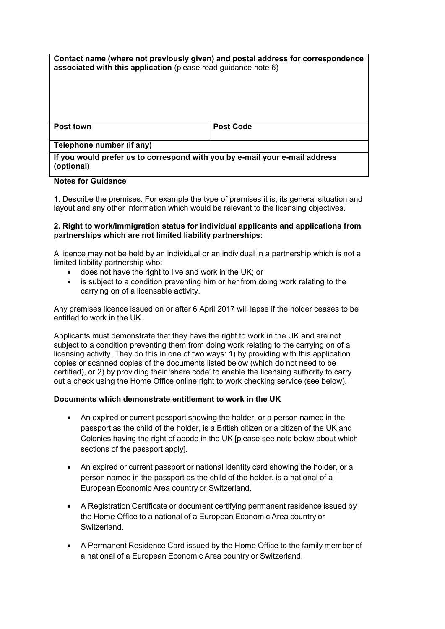| associated with this application (please read guidance note 6)                            | Contact name (where not previously given) and postal address for correspondence |  |
|-------------------------------------------------------------------------------------------|---------------------------------------------------------------------------------|--|
| Post town                                                                                 | <b>Post Code</b>                                                                |  |
| Telephone number (if any)                                                                 |                                                                                 |  |
| If you would prefer us to correspond with you by e-mail your e-mail address<br>(optional) |                                                                                 |  |

## **Notes for Guidance**

1. Describe the premises. For example the type of premises it is, its general situation and layout and any other information which would be relevant to the licensing objectives.

## **2. Right to work/immigration status for individual applicants and applications from partnerships which are not limited liability partnerships**:

A licence may not be held by an individual or an individual in a partnership which is not a limited liability partnership who:

- does not have the right to live and work in the UK; or
- is subject to a condition preventing him or her from doing work relating to the carrying on of a licensable activity.

Any premises licence issued on or after 6 April 2017 will lapse if the holder ceases to be entitled to work in the UK.

Applicants must demonstrate that they have the right to work in the UK and are not subject to a condition preventing them from doing work relating to the carrying on of a licensing activity. They do this in one of two ways: 1) by providing with this application copies or scanned copies of the documents listed below (which do not need to be certified), or 2) by providing their 'share code' to enable the licensing authority to carry out a check using the Home Office online right to work checking service (see below).

## **Documents which demonstrate entitlement to work in the UK**

- An expired or current passport showing the holder, or a person named in the passport as the child of the holder, is a British citizen or a citizen of the UK and Colonies having the right of abode in the UK [please see note below about which sections of the passport apply].
- An expired or current passport or national identity card showing the holder, or a person named in the passport as the child of the holder, is a national of a European Economic Area country or Switzerland.
- A Registration Certificate or document certifying permanent residence issued by the Home Office to a national of a European Economic Area country or Switzerland.
- A Permanent Residence Card issued by the Home Office to the family member of a national of a European Economic Area country or Switzerland.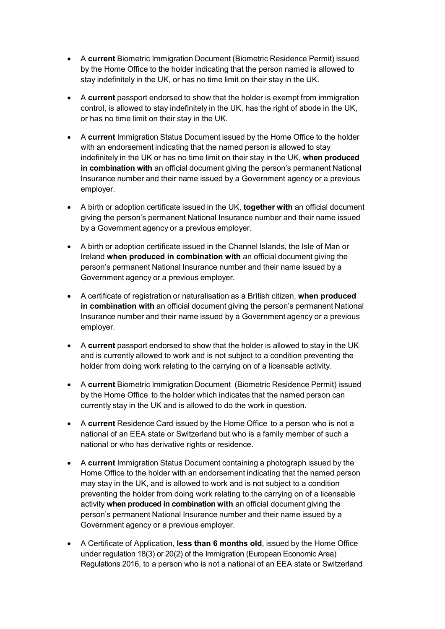- A **current** Biometric Immigration Document (Biometric Residence Permit) issued by the Home Office to the holder indicating that the person named is allowed to stay indefinitely in the UK, or has no time limit on their stay in the UK.
- A **current** passport endorsed to show that the holder is exempt from immigration control, is allowed to stay indefinitely in the UK, has the right of abode in the UK, or has no time limit on their stay in the UK.
- A **current** Immigration Status Document issued by the Home Office to the holder with an endorsement indicating that the named person is allowed to stay indefinitely in the UK or has no time limit on their stay in the UK, **when produced in combination with** an official document giving the person's permanent National Insurance number and their name issued by a Government agency or a previous employer.
- A birth or adoption certificate issued in the UK, **together with** an official document giving the person's permanent National Insurance number and their name issued by a Government agency or a previous employer.
- A birth or adoption certificate issued in the Channel Islands, the Isle of Man or Ireland **when produced in combination with** an official document giving the person's permanent National Insurance number and their name issued by a Government agency or a previous employer.
- A certificate of registration or naturalisation as a British citizen, **when produced in combination with** an official document giving the person's permanent National Insurance number and their name issued by a Government agency or a previous employer.
- A **current** passport endorsed to show that the holder is allowed to stay in the UK and is currently allowed to work and is not subject to a condition preventing the holder from doing work relating to the carrying on of a licensable activity.
- A **current** Biometric Immigration Document (Biometric Residence Permit) issued by the Home Office to the holder which indicates that the named person can currently stay in the UK and is allowed to do the work in question.
- A **current** Residence Card issued by the Home Office to a person who is not a national of an EEA state or Switzerland but who is a family member of such a national or who has derivative rights or residence.
- A **current** Immigration Status Document containing a photograph issued by the Home Office to the holder with an endorsement indicating that the named person may stay in the UK, and is allowed to work and is not subject to a condition preventing the holder from doing work relating to the carrying on of a licensable activity **when produced in combination with** an official document giving the person's permanent National Insurance number and their name issued by a Government agency or a previous employer.
- A Certificate of Application, **less than 6 months old**, issued by the Home Office under regulation 18(3) or 20(2) of the Immigration (European Economic Area) Regulations 2016, to a person who is not a national of an EEA state or Switzerland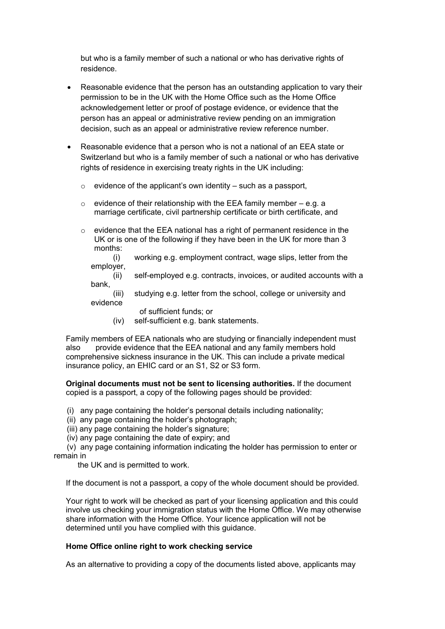but who is a family member of such a national or who has derivative rights of residence.

- Reasonable evidence that the person has an outstanding application to vary their permission to be in the UK with the Home Office such as the Home Office acknowledgement letter or proof of postage evidence, or evidence that the person has an appeal or administrative review pending on an immigration decision, such as an appeal or administrative review reference number.
- Reasonable evidence that a person who is not a national of an EEA state or Switzerland but who is a family member of such a national or who has derivative rights of residence in exercising treaty rights in the UK including:
	- $\circ$  evidence of the applicant's own identity such as a passport,
	- $\circ$  evidence of their relationship with the EEA family member e.g. a marriage certificate, civil partnership certificate or birth certificate, and
	- o evidence that the EEA national has a right of permanent residence in the UK or is one of the following if they have been in the UK for more than 3 months:

 (i) working e.g. employment contract, wage slips, letter from the employer,

 (ii) self-employed e.g. contracts, invoices, or audited accounts with a bank,

 (iii) studying e.g. letter from the school, college or university and evidence

of sufficient funds; or

(iv) self-sufficient e.g. bank statements.

Family members of EEA nationals who are studying or financially independent must also provide evidence that the EEA national and any family members hold comprehensive sickness insurance in the UK. This can include a private medical insurance policy, an EHIC card or an S1, S2 or S3 form.

**Original documents must not be sent to licensing authorities.** If the document copied is a passport, a copy of the following pages should be provided:

- (i) any page containing the holder's personal details including nationality;
- (ii) any page containing the holder's photograph;
- (iii) any page containing the holder's signature;
- (iv) any page containing the date of expiry; and

 (v) any page containing information indicating the holder has permission to enter or remain in

the UK and is permitted to work.

If the document is not a passport, a copy of the whole document should be provided.

Your right to work will be checked as part of your licensing application and this could involve us checking your immigration status with the Home Office. We may otherwise share information with the Home Office. Your licence application will not be determined until you have complied with this guidance.

## **Home Office online right to work checking service**

As an alternative to providing a copy of the documents listed above, applicants may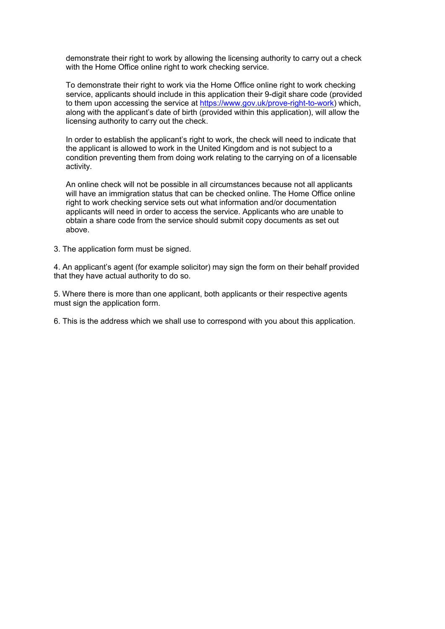demonstrate their right to work by allowing the licensing authority to carry out a check with the Home Office online right to work checking service.

To demonstrate their right to work via the Home Office online right to work checking service, applicants should include in this application their 9-digit share code (provided to them upon accessing the service at [https://www.gov.uk/prove-right-to-work\)](https://www.gov.uk/prove-right-to-work) which, along with the applicant's date of birth (provided within this application), will allow the licensing authority to carry out the check.

In order to establish the applicant's right to work, the check will need to indicate that the applicant is allowed to work in the United Kingdom and is not subject to a condition preventing them from doing work relating to the carrying on of a licensable activity.

An online check will not be possible in all circumstances because not all applicants will have an immigration status that can be checked online. The Home Office online right to work checking service sets out what information and/or documentation applicants will need in order to access the service. Applicants who are unable to obtain a share code from the service should submit copy documents as set out above.

3. The application form must be signed.

4. An applicant's agent (for example solicitor) may sign the form on their behalf provided that they have actual authority to do so.

5. Where there is more than one applicant, both applicants or their respective agents must sign the application form.

6. This is the address which we shall use to correspond with you about this application.